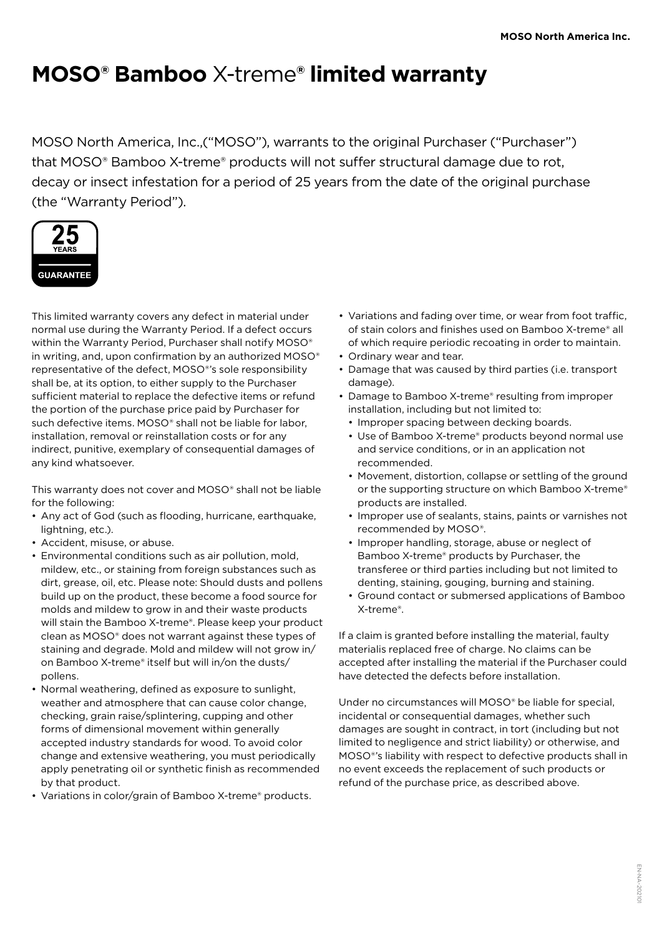## **MOSO® Bamboo** X-treme**® limited warranty**

MOSO North America, Inc.,("MOSO"), warrants to the original Purchaser ("Purchaser") that MOSO® Bamboo X-treme® products will not suffer structural damage due to rot, decay or insect infestation for a period of 25 years from the date of the original purchase (the "Warranty Period").



This limited warranty covers any defect in material under normal use during the Warranty Period. If a defect occurs within the Warranty Period, Purchaser shall notify MOSO® in writing, and, upon confirmation by an authorized MOSO® representative of the defect, MOSO®'s sole responsibility shall be, at its option, to either supply to the Purchaser sufficient material to replace the defective items or refund the portion of the purchase price paid by Purchaser for such defective items. MOSO® shall not be liable for labor, installation, removal or reinstallation costs or for any indirect, punitive, exemplary of consequential damages of any kind whatsoever.

This warranty does not cover and MOSO® shall not be liable for the following:

- Any act of God (such as flooding, hurricane, earthquake, lightning, etc.).
- Accident, misuse, or abuse.
- Environmental conditions such as air pollution, mold, mildew, etc., or staining from foreign substances such as dirt, grease, oil, etc. Please note: Should dusts and pollens build up on the product, these become a food source for molds and mildew to grow in and their waste products will stain the Bamboo X-treme®. Please keep your product clean as MOSO® does not warrant against these types of staining and degrade. Mold and mildew will not grow in/ on Bamboo X-treme® itself but will in/on the dusts/ pollens.
- Normal weathering, defined as exposure to sunlight, weather and atmosphere that can cause color change, checking, grain raise/splintering, cupping and other forms of dimensional movement within generally accepted industry standards for wood. To avoid color change and extensive weathering, you must periodically apply penetrating oil or synthetic finish as recommended by that product.
- Variations in color/grain of Bamboo X-treme® products.
- Variations and fading over time, or wear from foot traffic, of stain colors and finishes used on Bamboo X-treme® all of which require periodic recoating in order to maintain.
- Ordinary wear and tear.
- Damage that was caused by third parties (i.e. transport damage).
- Damage to Bamboo X-treme® resulting from improper installation, including but not limited to:
	- Improper spacing between decking boards.
	- Use of Bamboo X-treme® products beyond normal use and service conditions, or in an application not recommended.
	- Movement, distortion, collapse or settling of the ground or the supporting structure on which Bamboo X-treme® products are installed.
	- Improper use of sealants, stains, paints or varnishes not recommended by MOSO®.
	- Improper handling, storage, abuse or neglect of Bamboo X-treme® products by Purchaser, the transferee or third parties including but not limited to denting, staining, gouging, burning and staining.
	- Ground contact or submersed applications of Bamboo X-treme®.

If a claim is granted before installing the material, faulty materialis replaced free of charge. No claims can be accepted after installing the material if the Purchaser could have detected the defects before installation.

Under no circumstances will MOSO® be liable for special, incidental or consequential damages, whether such damages are sought in contract, in tort (including but not limited to negligence and strict liability) or otherwise, and MOSO®'s liability with respect to defective products shall in no event exceeds the replacement of such products or refund of the purchase price, as described above.